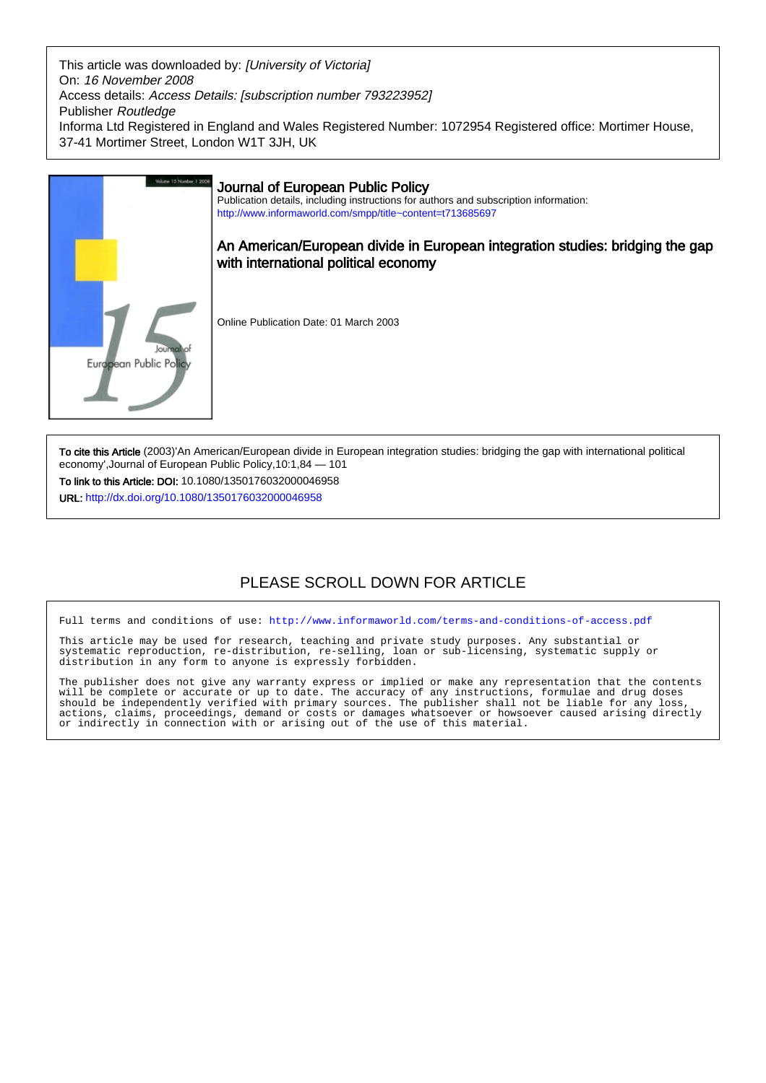This article was downloaded by: [University of Victoria] On: 16 November 2008 Access details: Access Details: [subscription number 793223952] Publisher Routledge Informa Ltd Registered in England and Wales Registered Number: 1072954 Registered office: Mortimer House, 37-41 Mortimer Street, London W1T 3JH, UK



To cite this Article (2003)'An American/European divide in European integration studies: bridging the gap with international political economy',Journal of European Public Policy,10:1,84 — 101 To link to this Article: DOI: 10.1080/1350176032000046958

URL: <http://dx.doi.org/10.1080/1350176032000046958>

## PLEASE SCROLL DOWN FOR ARTICLE

Full terms and conditions of use:<http://www.informaworld.com/terms-and-conditions-of-access.pdf>

This article may be used for research, teaching and private study purposes. Any substantial or systematic reproduction, re-distribution, re-selling, loan or sub-licensing, systematic supply or distribution in any form to anyone is expressly forbidden.

The publisher does not give any warranty express or implied or make any representation that the contents will be complete or accurate or up to date. The accuracy of any instructions, formulae and drug doses should be independently verified with primary sources. The publisher shall not be liable for any loss, actions, claims, proceedings, demand or costs or damages whatsoever or howsoever caused arising directly or indirectly in connection with or arising out of the use of this material.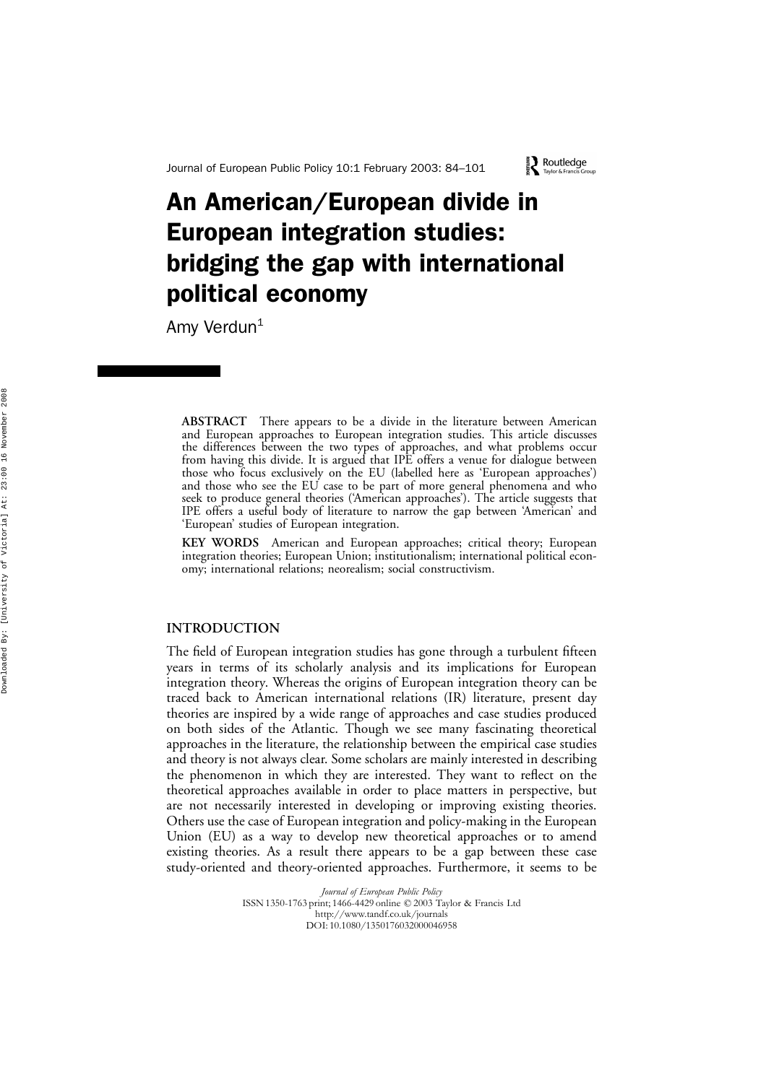Journal of European Public Policy 10:1 February 2003: 84–101

**P** Routledge

# An American/European divide in European integration studies: bridging the gap with international political economy

Amy Verdun<sup>1</sup>

**ABSTRACT** There appears to be a divide in the literature between American and European approaches to European integration studies. This article discusses the differences between the two types of approaches, and what problems occur from having this divide. It is argued that IPE offers a venue for dialogue between those who focus exclusively on the EU (labelled here as 'European approaches') and those who see the EU case to be part of more general phenomena and who seek to produce general theories ('American approaches'). The article suggests that IPE offers a useful body of literature to narrow the gap between 'American' and 'European' studies of European integration.

**KEY WORDS** American and European approaches; critical theory; European integration theories; European Union; institutionalism; international political economy; international relations; neorealism; social constructivism.

## **INTRODUCTION**

The field of European integration studies has gone through a turbulent fifteen years in terms of its scholarly analysis and its implications for European integration theory. Whereas the origins of European integration theory can be traced back to American international relations (IR) literature, present day theories are inspired by a wide range of approaches and case studies produced on both sides of the Atlantic. Though we see many fascinating theoretical approaches in the literature, the relationship between the empirical case studies and theory is not always clear. Some scholars are mainly interested in describing the phenomenon in which they are interested. They want to reflect on the theoretical approaches available in order to place matters in perspective, but are not necessarily interested in developing or improving existing theories. Others use the case of European integration and policy-making in the European Union (EU) as a way to develop new theoretical approaches or to amend existing theories. As a result there appears to be a gap between these case study-oriented and theory-oriented approaches. Furthermore, it seems to be

> *Journal of European Public Policy* ISSN 1350-1763 print; 1466-4429 online © 2003 Taylor & Francis Ltd http://www.tandf.co.uk/journals DOI: 10.1080/1350176032000046958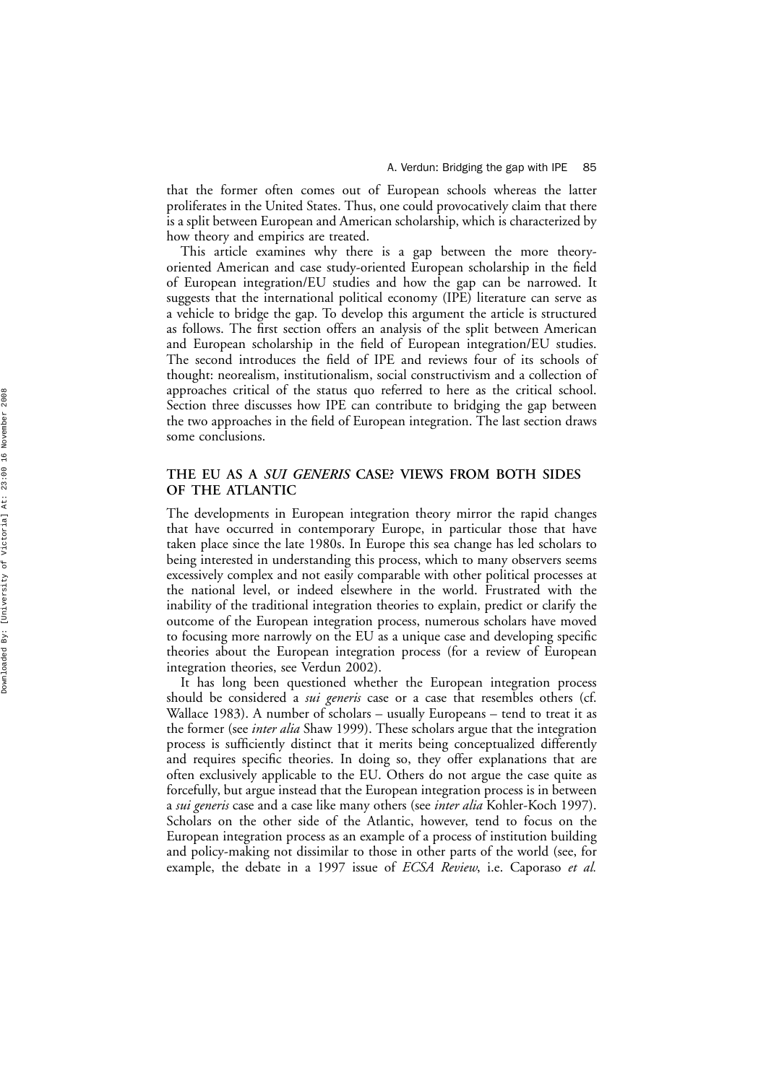that the former often comes out of European schools whereas the latter proliferates in the United States. Thus, one could provocatively claim that there is a split between European and American scholarship, which is characterized by how theory and empirics are treated.

This article examines why there is a gap between the more theoryoriented American and case study-oriented European scholarship in the field of European integration/EU studies and how the gap can be narrowed. It suggests that the international political economy (IPE) literature can serve as a vehicle to bridge the gap. To develop this argument the article is structured as follows. The first section offers an analysis of the split between American and European scholarship in the field of European integration/EU studies. The second introduces the field of IPE and reviews four of its schools of thought: neorealism, institutionalism, social constructivism and a collection of approaches critical of the status quo referred to here as the critical school. Section three discusses how IPE can contribute to bridging the gap between the two approaches in the field of European integration. The last section draws some conclusions.

## **THE EU AS A** *SUI GENERIS* **CASE? VIEWS FROM BOTH SIDES OF THE ATLANTIC**

The developments in European integration theory mirror the rapid changes that have occurred in contemporary Europe, in particular those that have taken place since the late 1980s. In Europe this sea change has led scholars to being interested in understanding this process, which to many observers seems excessively complex and not easily comparable with other political processes at the national level, or indeed elsewhere in the world. Frustrated with the inability of the traditional integration theories to explain, predict or clarify the outcome of the European integration process, numerous scholars have moved to focusing more narrowly on the EU as a unique case and developing speci fi c theories about the European integration process (for a review of European integration theories, see Verdun 2002).

It has long been questioned whether the European integration process should be considered a *sui generis* case or a case that resembles others (cf. Wallace 1983). A number of scholars – usually Europeans – tend to treat it as the former (see *inter alia* Shaw 1999). These scholars argue that the integration process is sufficiently distinct that it merits being conceptualized differently and requires speci fic theories. In doing so, they offer explanations that are often exclusively applicable to the EU. Others do not argue the case quite as forcefully, but argue instead that the European integration process is in between a *sui generis* case and a case like many others (see *inter alia* Kohler-Koch 1997). Scholars on the other side of the Atlantic, however, tend to focus on the European integration process as an example of a process of institution building and policy-making not dissimilar to those in other parts of the world (see, for example, the debate in a 1997 issue of *ECSA Review*, i.e. Caporaso *et al.*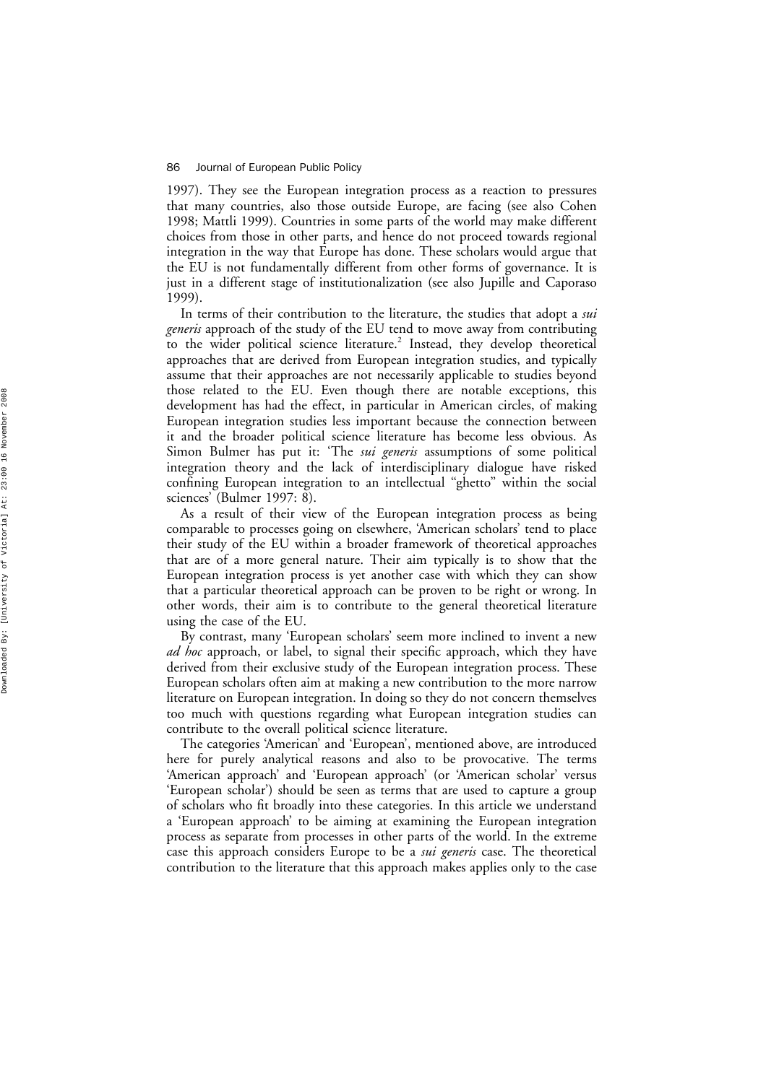1997). They see the European integration process as a reaction to pressures that many countries, also those outside Europe, are facing (see also Cohen 1998; Mattli 1999). Countries in some parts of the world may make different choices from those in other parts, and hence do not proceed towards regional integration in the way that Europe has done. These scholars would argue that the EU is not fundamentally different from other forms of governance. It is just in a different stage of institutionalization (see also Jupille and Caporaso 1999).

In terms of their contribution to the literature, the studies that adopt a *sui generis* approach of the study of the EU tend to move away from contributing to the wider political science literature. <sup>2</sup> Instead, they develop theoretical approaches that are derived from European integration studies, and typically assume that their approaches are not necessarily applicable to studies beyond those related to the EU. Even though there are notable exceptions, this development has had the effect, in particular in American circles, of making European integration studies less important because the connection between it and the broader political science literature has become less obvious. As Simon Bulmer has put it: 'The *sui generis* assumptions of some political integration theory and the lack of interdisciplinary dialogue have risked con fining European integration to an intellectual ''ghetto'' within the social sciences ' (Bulmer 1997: 8).

As a result of their view of the European integration process as being comparable to processes going on elsewhere, 'American scholars ' tend to place their study of the EU within a broader framework of theoretical approaches that are of a more general nature. Their aim typically is to show that the European integration process is yet another case with which they can show that a particular theoretical approach can be proven to be right or wrong. In other words, their aim is to contribute to the general theoretical literature using the case of the EU.

By contrast, many 'European scholars ' seem more inclined to invent a new *ad hoc* approach, or label, to signal their speci fic approach, which they have derived from their exclusive study of the European integration process. These European scholars often aim at making a new contribution to the more narrow literature on European integration. In doing so they do not concern themselves too much with questions regarding what European integration studies can contribute to the overall political science literature.

The categories 'American ' and 'European ', mentioned above, are introduced here for purely analytical reasons and also to be provocative. The terms 'American approach' and 'European approach' (or 'American scholar' versus 'European scholar') should be seen as terms that are used to capture a group of scholars who fit broadly into these categories. In this article we understand a 'European approach' to be aiming at examining the European integration process as separate from processes in other parts of the world. In the extreme case this approach considers Europe to be a *sui generis* case. The theoretical contribution to the literature that this approach makes applies only to the case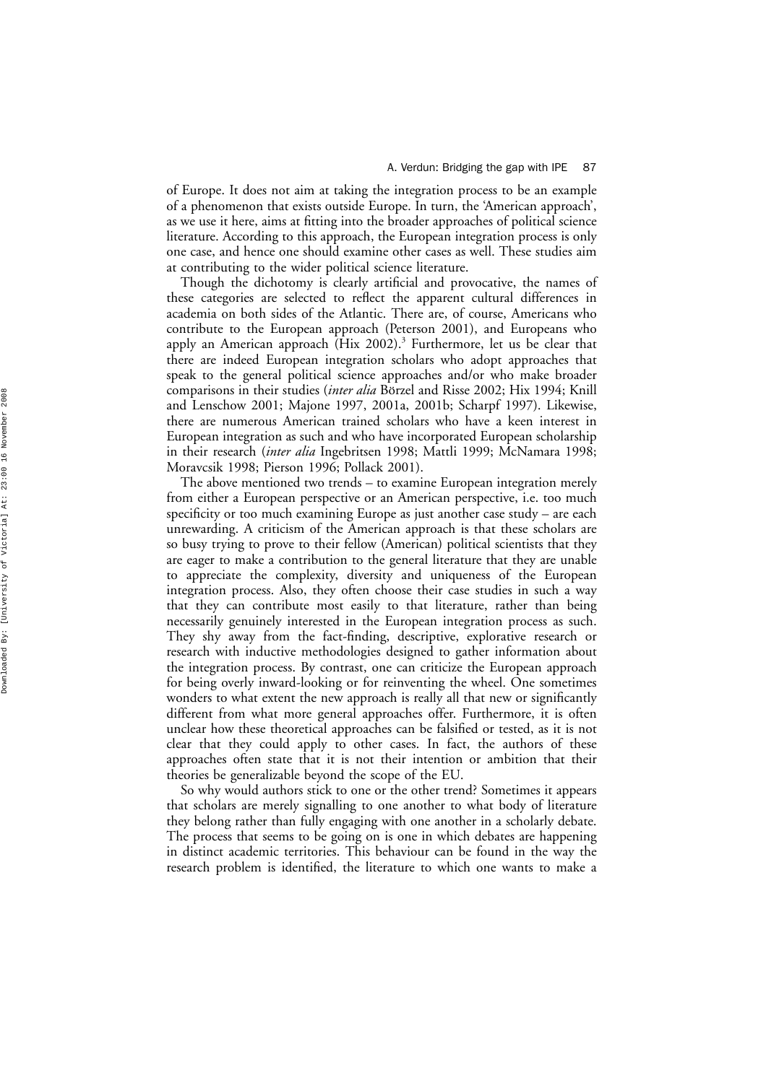of Europe. It does not aim at taking the integration process to be an example of a phenomenon that exists outside Europe. In turn, the 'American approach' , as we use it here, aims at fitting into the broader approaches of political science literature. According to this approach, the European integration process is only one case, and hence one should examine other cases as well. These studies aim at contributing to the wider political science literature.

Though the dichotomy is clearly arti ficial and provocative, the names of these categories are selected to re flect the apparent cultural differences in academia on both sides of the Atlantic. There are, of course, Americans who contribute to the European approach (Peterson 2001), and Europeans who apply an American approach (Hix 2002). <sup>3</sup> Furthermore, let us be clear that there are indeed European integration scholars who adopt approaches that speak to the general political science approaches and/or who make broader comparisons in their studies (*inter alia* Börzel and Risse 2002; Hix 1994; Knill and Lenschow 2001; Majone 1997, 2001a, 2001b; Scharpf 1997). Likewise, there are numerous American trained scholars who have a keen interest in European integration as such and who have incorporated European scholarship in their research (*inter alia* Ingebritsen 1998; Mattli 1999; McNamara 1998; Moravcsik 1998; Pierson 1996; Pollack 2001).

The above mentioned two trends – to examine European integration merely from either a European perspective or an American perspective, i.e. too much speci ficity or too much examining Europe as just another case study – are each unrewarding. A criticism of the American approach is that these scholars are so busy trying to prove to their fellow (American) political scientists that they are eager to make a contribution to the general literature that they are unable to appreciate the complexity, diversity and uniqueness of the European integration process. Also, they often choose their case studies in such a way that they can contribute most easily to that literature, rather than being necessarily genuinely interested in the European integration process as such. They shy away from the fact-finding, descriptive, explorative research or research with inductive methodologies designed to gather information about the integration process. By contrast, one can criticize the European approach for being overly inward-looking or for reinventing the wheel. One sometimes wonders to what extent the new approach is really all that new or signi ficantly different from what more general approaches offer. Furthermore, it is often unclear how these theoretical approaches can be falsi fied or tested, as it is not clear that they could apply to other cases. In fact, the authors of these approaches often state that it is not their intention or ambition that their theories be generalizable beyond the scope of the EU.

So why would authors stick to one or the other trend? Sometimes it appears that scholars are merely signalling to one another to what body of literature they belong rather than fully engaging with one another in a scholarly debate. The process that seems to be going on is one in which debates are happening in distinct academic territories. This behaviour can be found in the way the research problem is identi fied, the literature to which one wants to make a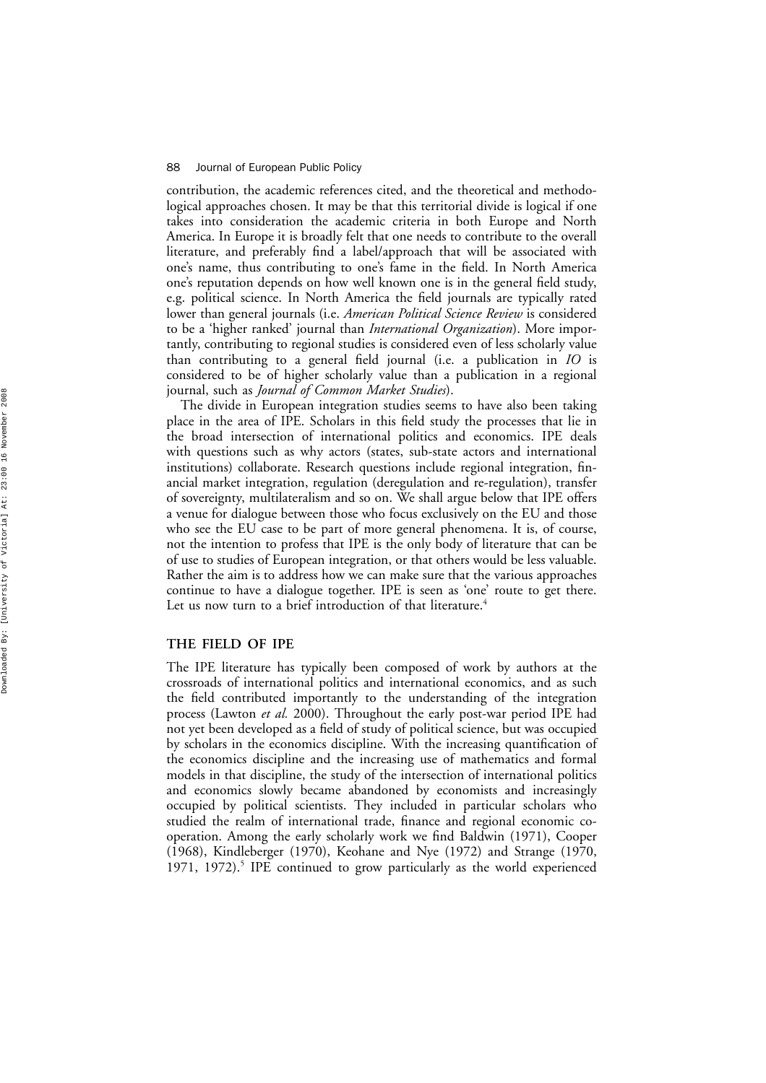contribution, the academic references cited, and the theoretical and methodological approaches chosen. It may be that this territorial divide is logical if one takes into consideration the academic criteria in both Europe and North America. In Europe it is broadly felt that one needs to contribute to the overall literature, and preferably find a label/approach that will be associated with one 's name, thus contributing to one 's fame in the field. In North America one 's reputation depends on how well known one is in the general field study, e.g. political science. In North America the field journals are typically rated lower than general journals (i.e. *American Political Science Review* is considered to be a 'higher ranked ' journal than *International Organization*). More importantly, contributing to regional studies is considered even of less scholarly value than contributing to a general field journal (i.e. a publication in *IO* is considered to be of higher scholarly value than a publication in a regional journal, such as *Journal of Common Market Studies*).

The divide in European integration studies seems to have also been taking place in the area of IPE. Scholars in this field study the processes that lie in the broad intersection of international politics and economics. IPE deals with questions such as why actors (states, sub-state actors and international institutions) collaborate. Research questions include regional integration, financial market integration, regulation (deregulation and re-regulation), transfer of sovereignty, multilateralism and so on. We shall argue below that IPE offers a venue for dialogue between those who focus exclusively on the EU and those who see the EU case to be part of more general phenomena. It is, of course, not the intention to profess that IPE is the only body of literature that can be of use to studies of European integration, or that others would be less valuable. Rather the aim is to address how we can make sure that the various approaches continue to have a dialogue together. IPE is seen as 'one ' route to get there. Let us now turn to a brief introduction of that literature.<sup>4</sup>

## **THE FIELD OF IPE**

The IPE literature has typically been composed of work by authors at the crossroads of international politics and international economics, and as such the field contributed importantly to the understanding of the integration process (Lawton *et al.* 2000). Throughout the early post-war period IPE had not yet been developed as a field of study of political science, but was occupied by scholars in the economics discipline. With the increasing quanti fication of the economics discipline and the increasing use of mathematics and formal models in that discipline, the study of the intersection of international politics and economics slowly became abandoned by economists and increasingly occupied by political scientists. They included in particular scholars who studied the realm of international trade, finance and regional economic cooperation. Among the early scholarly work we find Baldwin (1971), Cooper (1968), Kindleberger (1970), Keohane and Nye (1972) and Strange (1970, 1971, 1972). <sup>5</sup> IPE continued to grow particularly as the world experienced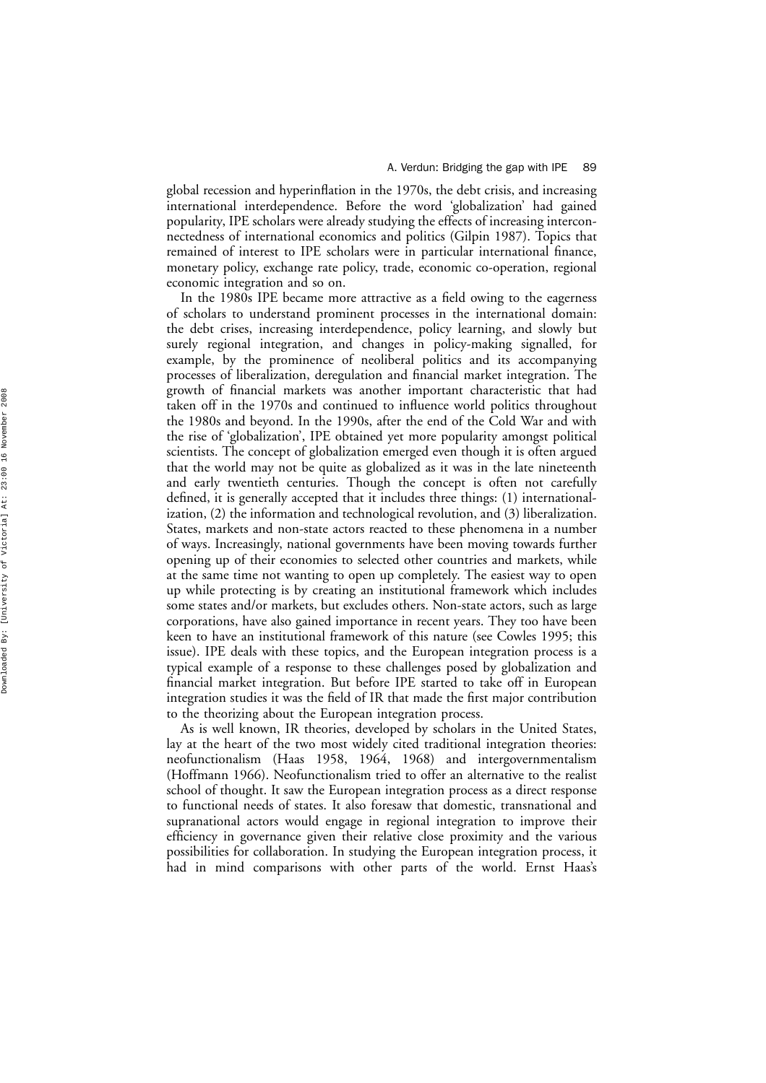global recession and hyperin flation in the 1970s, the debt crisis, and increasing international interdependence. Before the word 'globalization ' had gained popularity, IPE scholars were already studying the effects of increasing interconnectedness of international economics and politics (Gilpin 1987). Topics that remained of interest to IPE scholars were in particular international finance, monetary policy, exchange rate policy, trade, economic co-operation, regional economic integration and so on.

In the 1980s IPE became more attractive as a field owing to the eagerness of scholars to understand prominent processes in the international domain: the debt crises, increasing interdependence, policy learning, and slowly but surely regional integration, and changes in policy-making signalled, for example, by the prominence of neoliberal politics and its accompanying processes of liberalization, deregulation and financial market integration. The growth of financial markets was another important characteristic that had taken off in the 1970s and continued to in fluence world politics throughout the 1980s and beyond. In the 1990s, after the end of the Cold War and with the rise of 'globalization ', IPE obtained yet more popularity amongst political scientists. The concept of globalization emerged even though it is often argued that the world may not be quite as globalized as it was in the late nineteenth and early twentieth centuries. Though the concept is often not carefully de fined, it is generally accepted that it includes three things: (1) internationalization, (2) the information and technological revolution, and (3) liberalization. States, markets and non-state actors reacted to these phenomena in a number of ways. Increasingly, national governments have been moving towards further opening up of their economies to selected other countries and markets, while at the same time not wanting to open up completely. The easiest way to open up while protecting is by creating an institutional framework which includes some states and/or markets, but excludes others. Non-state actors, such as large corporations, have also gained importance in recent years. They too have been keen to have an institutional framework of this nature (see Cowles 1995; this issue). IPE deals with these topics, and the European integration process is a typical example of a response to these challenges posed by globalization and financial market integration. But before IPE started to take off in European integration studies it was the field of IR that made the first major contribution to the theorizing about the European integration process.

As is well known, IR theories, developed by scholars in the United States, lay at the heart of the two most widely cited traditional integration theories: neofunctionalism (Haas 1958, 1964, 1968) and intergovernmentalism (Hoffmann 1966). Neofunctionalism tried to offer an alternative to the realist school of thought. It saw the European integration process as a direct response to functional needs of states. It also foresaw that domestic, transnational and supranational actors would engage in regional integration to improve their efficiency in governance given their relative close proximity and the various possibilities for collaboration. In studying the European integration process, it had in mind comparisons with other parts of the world. Ernst Haas's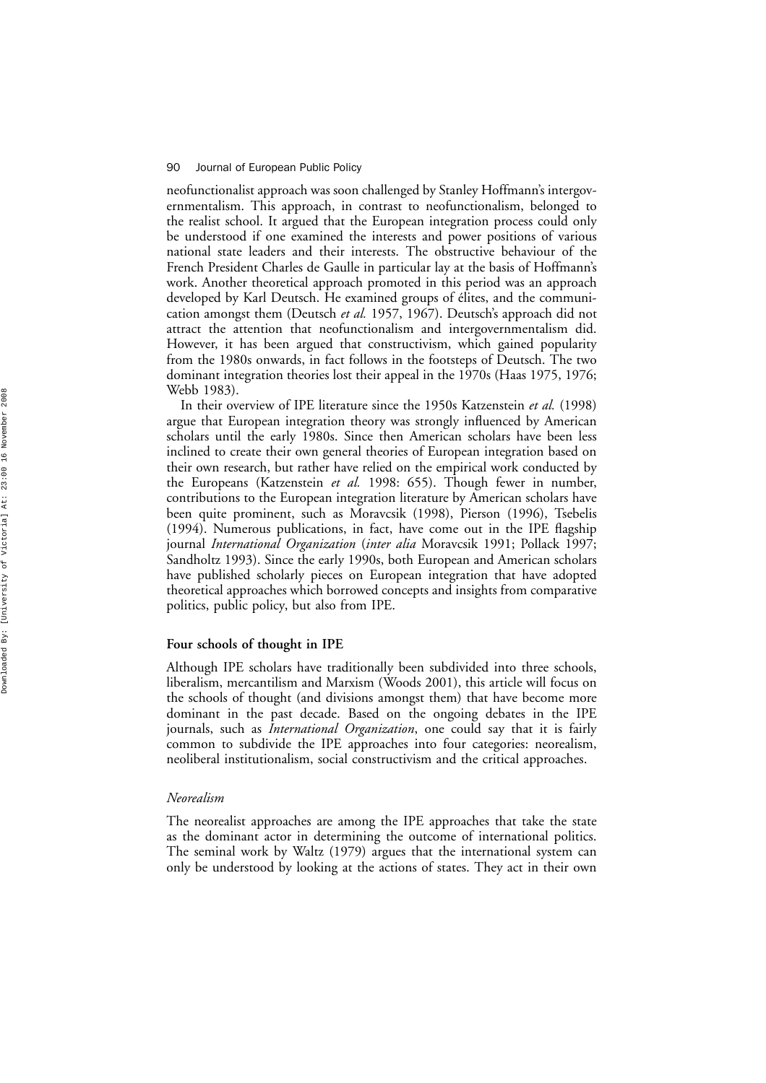neofunctionalist approach was soon challenged by Stanley Hoffmann 's intergovernmentalism. This approach, in contrast to neofunctionalism, belonged to the realist school. It argued that the European integration process could only be understood if one examined the interests and power positions of various national state leaders and their interests. The obstructive behaviour of the French President Charles de Gaulle in particular lay at the basis of Hoffmann' s work. Another theoretical approach promoted in this period was an approach developed by Karl Deutsch. He examined groups of élites, and the communication amongst them (Deutsch *et al.* 1957, 1967). Deutsch's approach did not attract the attention that neofunctionalism and intergovernmentalism did. However, it has been argued that constructivism, which gained popularity from the 1980s onwards, in fact follows in the footsteps of Deutsch. The two dominant integration theories lost their appeal in the 1970s (Haas 1975, 1976; Webb 1983).

In their overview of IPE literature since the 1950s Katzenstein *et al.* (1998) argue that European integration theory was strongly in fluenced by American scholars until the early 1980s. Since then American scholars have been less inclined to create their own general theories of European integration based on their own research, but rather have relied on the empirical work conducted by the Europeans (Katzenstein *et al.* 1998: 655). Though fewer in number, contributions to the European integration literature by American scholars have been quite prominent, such as Moravcsik (1998), Pierson (1996), Tsebelis (1994). Numerous publications, in fact, have come out in the IPE flagship journal *International Organization* (*inter alia* Moravcsik 1991; Pollack 1997; Sandholtz 1993). Since the early 1990s, both European and American scholars have published scholarly pieces on European integration that have adopted theoretical approaches which borrowed concepts and insights from comparative politics, public policy, but also from IPE.

#### **Four schools of thought in IPE**

Although IPE scholars have traditionally been subdivided into three schools, liberalism, mercantilism and Marxism (Woods 2001), this article will focus on the schools of thought (and divisions amongst them) that have become more dominant in the past decade. Based on the ongoing debates in the IPE journals, such as *International Organization*, one could say that it is fairly common to subdivide the IPE approaches into four categories: neorealism, neoliberal institutionalism, social constructivism and the critical approaches.

#### *Neorealism*

The neorealist approaches are among the IPE approaches that take the state as the dominant actor in determining the outcome of international politics. The seminal work by Waltz (1979) argues that the international system can only be understood by looking at the actions of states. They act in their own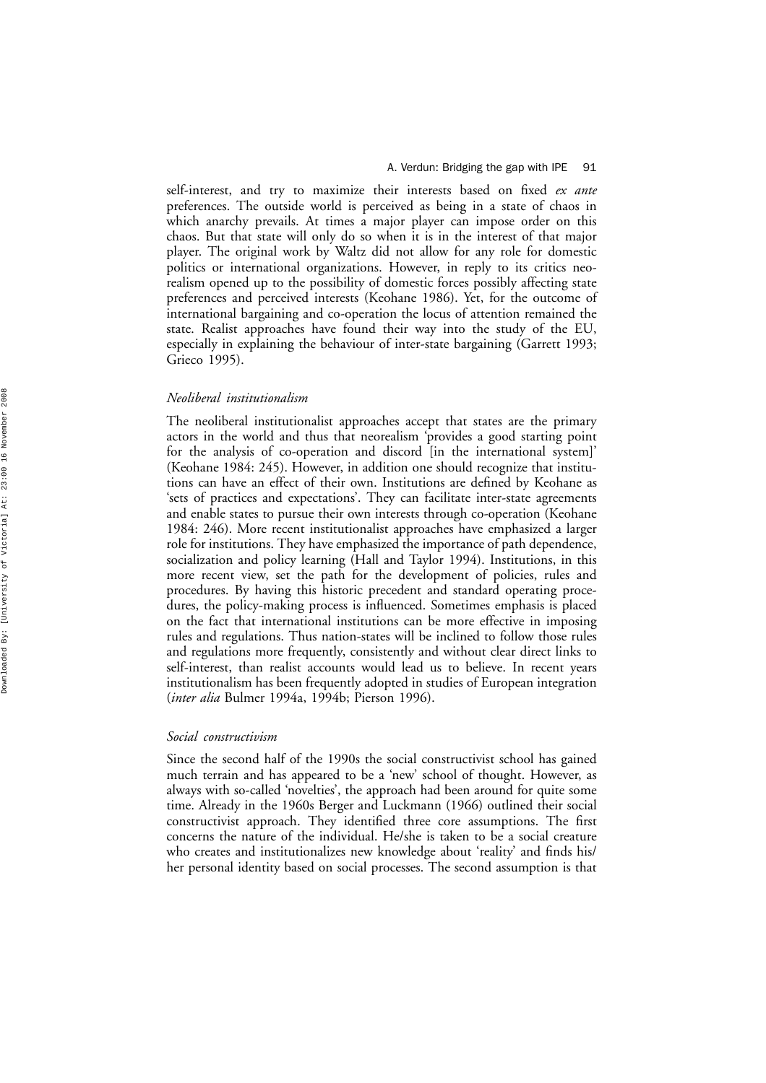self-interest, and try to maximize their interests based on fixed *ex ante* preferences. The outside world is perceived as being in a state of chaos in which anarchy prevails. At times a major player can impose order on this chaos. But that state will only do so when it is in the interest of that major player. The original work by Waltz did not allow for any role for domestic politics or international organizations. However, in reply to its critics neorealism opened up to the possibility of domestic forces possibly affecting state preferences and perceived interests (Keohane 1986). Yet, for the outcome of international bargaining and co-operation the locus of attention remained the state. Realist approaches have found their way into the study of the EU, especially in explaining the behaviour of inter-state bargaining (Garrett 1993; Grieco 1995).

#### *Neoliberal institutionalism*

The neoliberal institutionalist approaches accept that states are the primary actors in the world and thus that neorealism 'provides a good starting point for the analysis of co-operation and discord [in the international system] ' (Keohane 1984: 245). However, in addition one should recognize that institutions can have an effect of their own. Institutions are defined by Keohane as 'sets of practices and expectations'. They can facilitate inter-state agreements and enable states to pursue their own interests through co-operation (Keohane 1984: 246). More recent institutionalist approaches have emphasized a larger role for institutions. They have emphasized the importance of path dependence, socialization and policy learning (Hall and Taylor 1994). Institutions, in this more recent view, set the path for the development of policies, rules and procedures. By having this historic precedent and standard operating procedures, the policy-making process is influenced. Sometimes emphasis is placed on the fact that international institutions can be more effective in imposing rules and regulations. Thus nation-states will be inclined to follow those rules and regulations more frequently, consistently and without clear direct links to self-interest, than realist accounts would lead us to believe. In recent years institutionalism has been frequently adopted in studies of European integration (*inter alia* Bulmer 1994a, 1994b; Pierson 1996).

#### *Social constructivism*

Since the second half of the 1990s the social constructivist school has gained much terrain and has appeared to be a 'new ' school of thought. However, as always with so-called 'novelties', the approach had been around for quite some time. Already in the 1960s Berger and Luckmann (1966) outlined their social constructivist approach. They identi fied three core assumptions. The first concerns the nature of the individual. He/she is taken to be a social creature who creates and institutionalizes new knowledge about 'reality' and finds his/ her personal identity based on social processes. The second assumption is that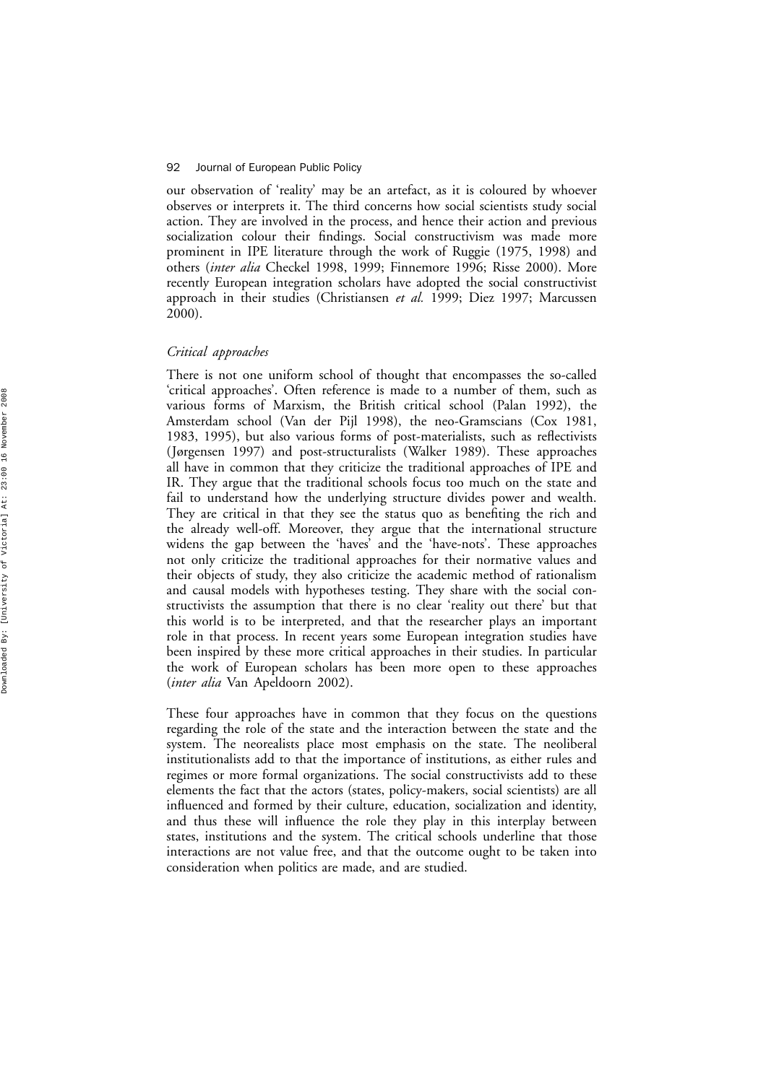our observation of 'reality' may be an artefact, as it is coloured by whoever observes or interprets it. The third concerns how social scientists study social action. They are involved in the process, and hence their action and previous socialization colour their findings. Social constructivism was made more prominent in IPE literature through the work of Ruggie (1975, 1998) and others (*inter alia* Checkel 1998, 1999; Finnemore 1996; Risse 2000). More recently European integration scholars have adopted the social constructivist approach in their studies (Christiansen *et al.* 1999; Diez 1997; Marcussen 2000).

#### *Critical approaches*

There is not one uniform school of thought that encompasses the so-called 'critical approaches'. Often reference is made to a number of them, such as various forms of Marxism, the British critical school (Palan 1992), the Amsterdam school (Van der Pijl 1998), the neo-Gramscians (Cox 1981, 1983, 1995), but also various forms of post-materialists, such as re flectivists (J ørgensen 1997) and post-structuralists (Walker 1989). These approaches all have in common that they criticize the traditional approaches of IPE and IR. They argue that the traditional schools focus too much on the state and fail to understand how the underlying structure divides power and wealth. They are critical in that they see the status quo as bene fiting the rich and the already well-off. Moreover, they argue that the international structure widens the gap between the 'haves' and the 'have-nots'. These approaches not only criticize the traditional approaches for their normative values and their objects of study, they also criticize the academic method of rationalism and causal models with hypotheses testing. They share with the social constructivists the assumption that there is no clear 'reality out there' but that this world is to be interpreted, and that the researcher plays an important role in that process. In recent years some European integration studies have been inspired by these more critical approaches in their studies. In particular the work of European scholars has been more open to these approaches (*inter alia* Van Apeldoorn 2002).

These four approaches have in common that they focus on the questions regarding the role of the state and the interaction between the state and the system. The neorealists place most emphasis on the state. The neoliberal institutionalists add to that the importance of institutions, as either rules and regimes or more formal organizations. The social constructivists add to these elements the fact that the actors (states, policy-makers, social scientists) are all in fluenced and formed by their culture, education, socialization and identity, and thus these will in fluence the role they play in this interplay between states, institutions and the system. The critical schools underline that those interactions are not value free, and that the outcome ought to be taken into consideration when politics are made, and are studied.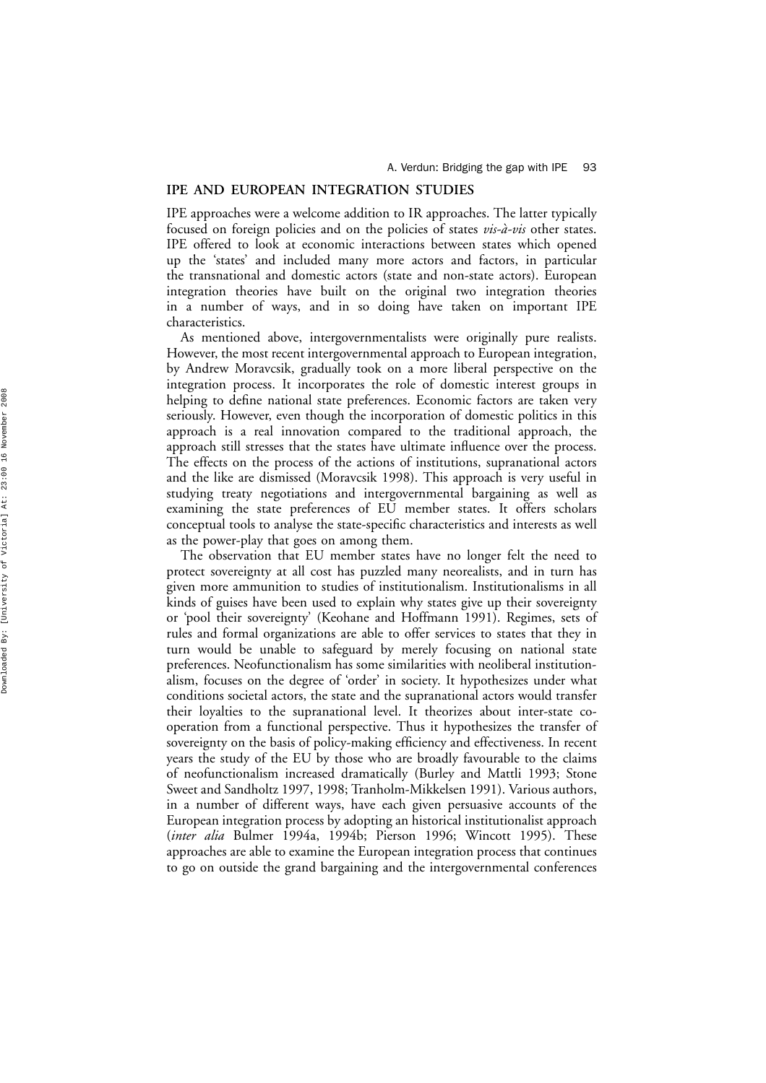### **IPE AND EUROPEAN INTEGRATION STUDIES**

IPE approaches were a welcome addition to IR approaches. The latter typically focused on foreign policies and on the policies of states *vis-a`-vis* other states. IPE offered to look at economic interactions between states which opened up the 'states ' and included many more actors and factors, in particular the transnational and domestic actors (state and non-state actors). European integration theories have built on the original two integration theories in a number of ways, and in so doing have taken on important IPE characteristics.

As mentioned above, intergovernmentalists were originally pure realists. However, the most recent intergovernmental approach to European integration, by Andrew Moravcsik, gradually took on a more liberal perspective on the integration process. It incorporates the role of domestic interest groups in helping to de fine national state preferences. Economic factors are taken very seriously. However, even though the incorporation of domestic politics in this approach is a real innovation compared to the traditional approach, the approach still stresses that the states have ultimate in fluence over the process. The effects on the process of the actions of institutions, supranational actors and the like are dismissed (Moravcsik 1998). This approach is very useful in studying treaty negotiations and intergovernmental bargaining as well as examining the state preferences of EU member states. It offers scholars conceptual tools to analyse the state-speci fic characteristics and interests as well as the power-play that goes on among them.

The observation that EU member states have no longer felt the need to protect sovereignty at all cost has puzzled many neorealists, and in turn has given more ammunition to studies of institutionalism. Institutionalisms in all kinds of guises have been used to explain why states give up their sovereignty or 'pool their sovereignty' (Keohane and Hoffmann 1991). Regimes, sets of rules and formal organizations are able to offer services to states that they in turn would be unable to safeguard by merely focusing on national state preferences. Neofunctionalism has some similarities with neoliberal institutionalism, focuses on the degree of 'order' in society. It hypothesizes under what conditions societal actors, the state and the supranational actors would transfer their loyalties to the supranational level. It theorizes about inter-state cooperation from a functional perspective. Thus it hypothesizes the transfer of sovereignty on the basis of policy-making efficiency and effectiveness. In recent years the study of the EU by those who are broadly favourable to the claims of neofunctionalism increased dramatically (Burley and Mattli 1993; Stone Sweet and Sandholtz 1997, 1998; Tranholm-Mikkelsen 1991). Various authors, in a number of different ways, have each given persuasive accounts of the European integration process by adopting an historical institutionalist approach (*inter alia* Bulmer 1994a, 1994b; Pierson 1996; Wincott 1995). These approaches are able to examine the European integration process that continues to go on outside the grand bargaining and the intergovernmental conferences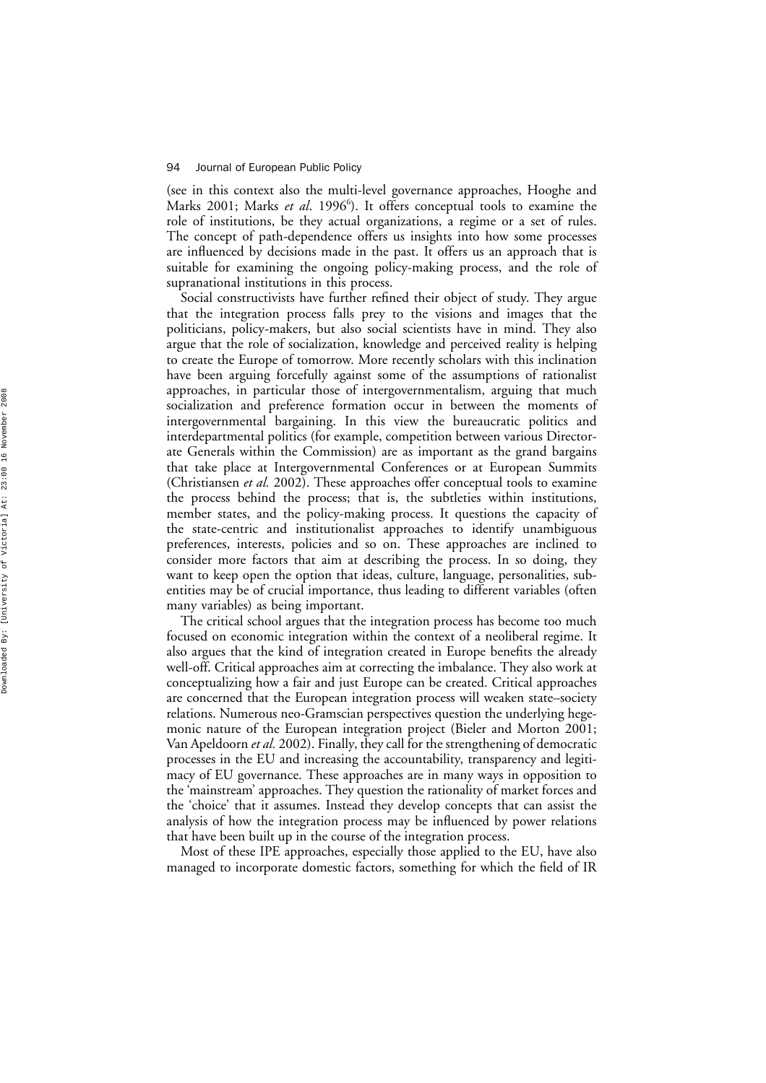(see in this context also the multi-level governance approaches, Hooghe and Marks 2001; Marks *et al*. 1996 6 ). It offers conceptual tools to examine the role of institutions, be they actual organizations, a regime or a set of rules. The concept of path-dependence offers us insights into how some processes are in fluenced by decisions made in the past. It offers us an approach that is suitable for examining the ongoing policy-making process, and the role of supranational institutions in this process.

Social constructivists have further re fined their object of study. They argue that the integration process falls prey to the visions and images that the politicians, policy-makers, but also social scientists have in mind. They also argue that the role of socialization, knowledge and perceived reality is helping to create the Europe of tomorrow. More recently scholars with this inclination have been arguing forcefully against some of the assumptions of rationalist approaches, in particular those of intergovernmentalism, arguing that much socialization and preference formation occur in between the moments of intergovernmental bargaining. In this view the bureaucratic politics and interdepartmental politics (for example, competition between various Directorate Generals within the Commission) are as important as the grand bargains that take place at Intergovernmental Conferences or at European Summits (Christiansen *et al.* 2002). These approaches offer conceptual tools to examine the process behind the process; that is, the subtleties within institutions, member states, and the policy-making process. It questions the capacity of the state-centric and institutionalist approaches to identify unambiguous preferences, interests, policies and so on. These approaches are inclined to consider more factors that aim at describing the process. In so doing, they want to keep open the option that ideas, culture, language, personalities, subentities may be of crucial importance, thus leading to different variables (often many variables) as being important.

The critical school argues that the integration process has become too much focused on economic integration within the context of a neoliberal regime. It also argues that the kind of integration created in Europe bene fits the already well-off. Critical approaches aim at correcting the imbalance. They also work at conceptualizing how a fair and just Europe can be created. Critical approaches are concerned that the European integration process will weaken state –society relations. Numerous neo-Gramscian perspectives question the underlying hegemonic nature of the European integration project (Bieler and Morton 2001; Van Apeldoorn *et al.* 2002). Finally, they call for the strengthening of democratic processes in the EU and increasing the accountability, transparency and legitimacy of EU governance. These approaches are in many ways in opposition to the 'mainstream' approaches. They question the rationality of market forces and the 'choice ' that it assumes. Instead they develop concepts that can assist the analysis of how the integration process may be in fluenced by power relations that have been built up in the course of the integration process.

Most of these IPE approaches, especially those applied to the EU, have also managed to incorporate domestic factors, something for which the field of IR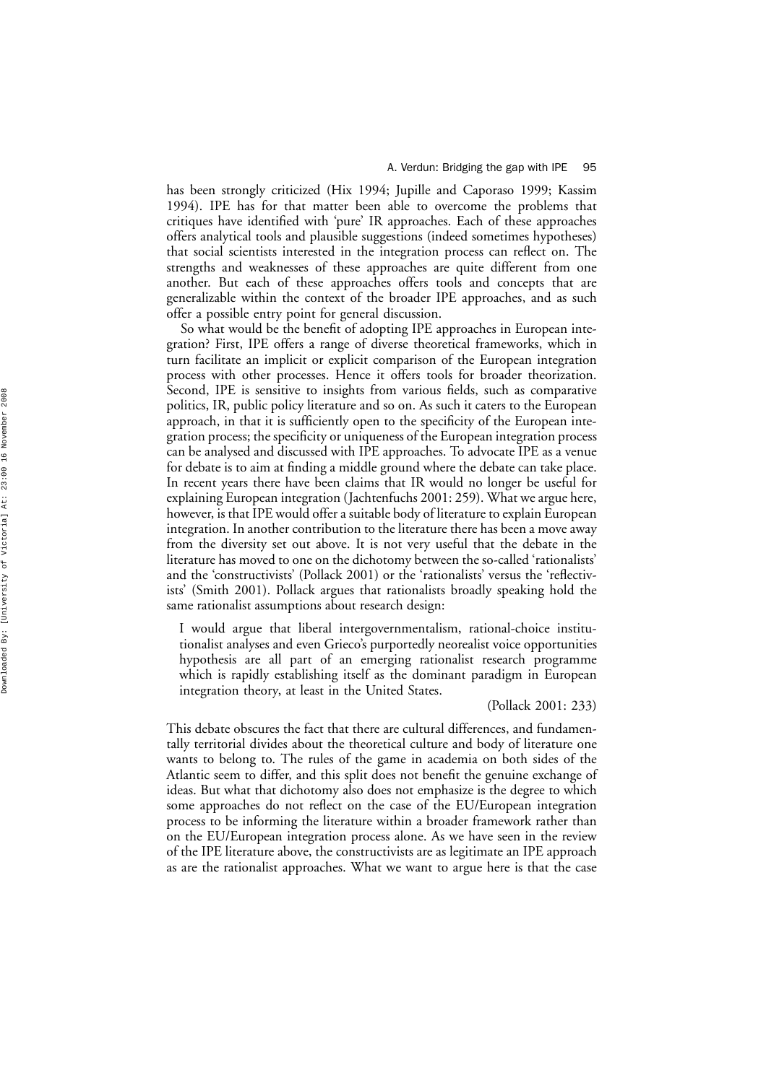has been strongly criticized (Hix 1994; Jupille and Caporaso 1999; Kassim 1994). IPE has for that matter been able to overcome the problems that critiques have identi fied with 'pure ' IR approaches. Each of these approaches offers analytical tools and plausible suggestions (indeed sometimes hypotheses) that social scientists interested in the integration process can re flect on. The strengths and weaknesses of these approaches are quite different from one another. But each of these approaches offers tools and concepts that are generalizable within the context of the broader IPE approaches, and as such offer a possible entry point for general discussion.

So what would be the bene fit of adopting IPE approaches in European integration? First, IPE offers a range of diverse theoretical frameworks, which in turn facilitate an implicit or explicit comparison of the European integration process with other processes. Hence it offers tools for broader theorization. Second, IPE is sensitive to insights from various fields, such as comparative politics, IR, public policy literature and so on. As such it caters to the European approach, in that it is sufficiently open to the speci ficity of the European integration process; the specificity or uniqueness of the European integration process can be analysed and discussed with IPE approaches. To advocate IPE as a venue for debate is to aim at finding a middle ground where the debate can take place. In recent years there have been claims that IR would no longer be useful for explaining European integration (Jachtenfuchs 2001: 259). What we argue here, however, is that IPE would offer a suitable body of literature to explain European integration. In another contribution to the literature there has been a move away from the diversity set out above. It is not very useful that the debate in the literature has moved to one on the dichotomy between the so-called 'rationalists ' and the 'constructivists' (Pollack 2001) or the 'rationalists' versus the 'reflectivists' (Smith 2001). Pollack argues that rationalists broadly speaking hold the same rationalist assumptions about research design:

I would argue that liberal intergovernmentalism, rational-choice institutionalist analyses and even Grieco's purportedly neorealist voice opportunities hypothesis are all part of an emerging rationalist research programme which is rapidly establishing itself as the dominant paradigm in European integration theory, at least in the United States.

#### (Pollack 2001: 233)

This debate obscures the fact that there are cultural differences, and fundamentally territorial divides about the theoretical culture and body of literature one wants to belong to. The rules of the game in academia on both sides of the Atlantic seem to differ, and this split does not bene fit the genuine exchange of ideas. But what that dichotomy also does not emphasize is the degree to which some approaches do not re flect on the case of the EU/European integration process to be informing the literature within a broader framework rather than on the EU/European integration process alone. As we have seen in the review of the IPE literature above, the constructivists are as legitimate an IPE approach as are the rationalist approaches. What we want to argue here is that the case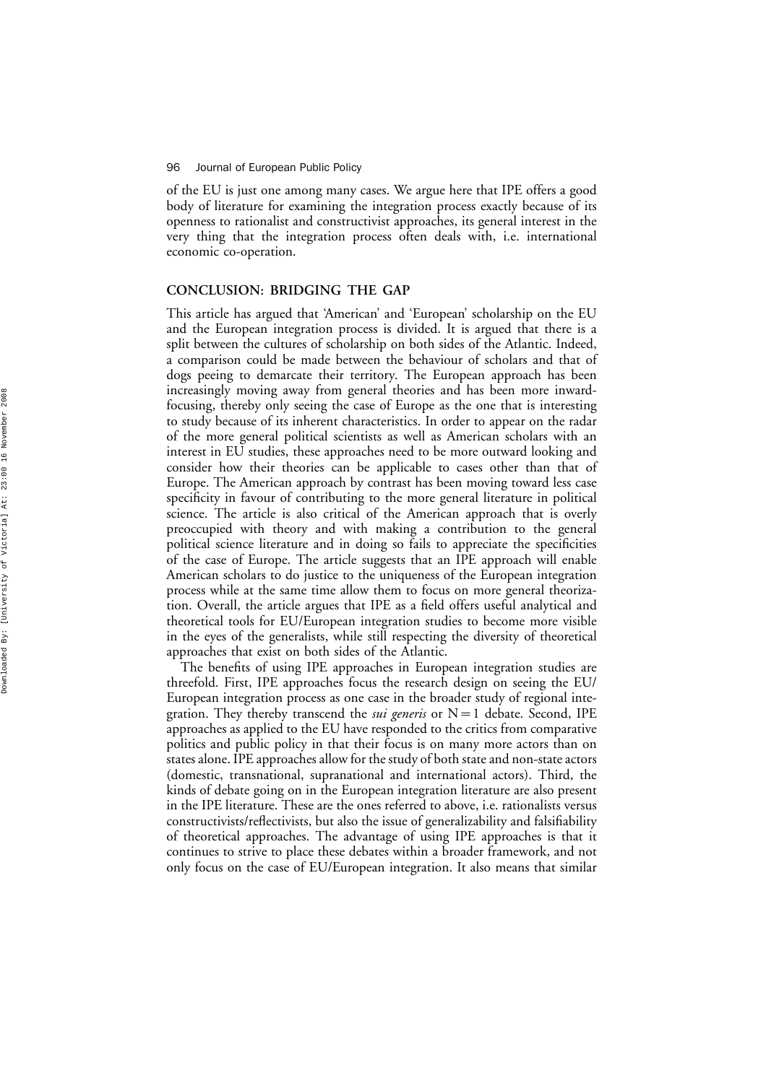of the EU is just one among many cases. We argue here that IPE offers a good body of literature for examining the integration process exactly because of its openness to rationalist and constructivist approaches, its general interest in the very thing that the integration process often deals with, i.e. international economic co-operation.

## **CONCLUSION: BRIDGING THE GAP**

This article has argued that 'American ' and 'European ' scholarship on the EU and the European integration process is divided. It is argued that there is a split between the cultures of scholarship on both sides of the Atlantic. Indeed, a comparison could be made between the behaviour of scholars and that of dogs peeing to demarcate their territory. The European approach has been increasingly moving away from general theories and has been more inwardfocusing, thereby only seeing the case of Europe as the one that is interesting to study because of its inherent characteristics. In order to appear on the radar of the more general political scientists as well as American scholars with an interest in EU studies, these approaches need to be more outward looking and consider how their theories can be applicable to cases other than that of Europe. The American approach by contrast has been moving toward less case speci ficity in favour of contributing to the more general literature in political science. The article is also critical of the American approach that is overly preoccupied with theory and with making a contribution to the general political science literature and in doing so fails to appreciate the speci ficities of the case of Europe. The article suggests that an IPE approach will enable American scholars to do justice to the uniqueness of the European integration process while at the same time allow them to focus on more general theorization. Overall, the article argues that IPE as a field offers useful analytical and theoretical tools for EU/European integration studies to become more visible in the eyes of the generalists, while still respecting the diversity of theoretical approaches that exist on both sides of the Atlantic.

The bene fits of using IPE approaches in European integration studies are threefold. First, IPE approaches focus the research design on seeing the EU/ European integration process as one case in the broader study of regional integration. They thereby transcend the *sui generis* or  $N=1$  debate. Second, IPE approaches as applied to the EU have responded to the critics from comparative politics and public policy in that their focus is on many more actors than on states alone. IPE approaches allow for the study of both state and non-state actors (domestic, transnational, supranational and international actors). Third, the kinds of debate going on in the European integration literature are also present in the IPE literature. These are the ones referred to above, i.e. rationalists versus constructivists/reflectivists, but also the issue of generalizability and falsifiability of theoretical approaches. The advantage of using IPE approaches is that it continues to strive to place these debates within a broader framework, and not only focus on the case of EU/European integration. It also means that similar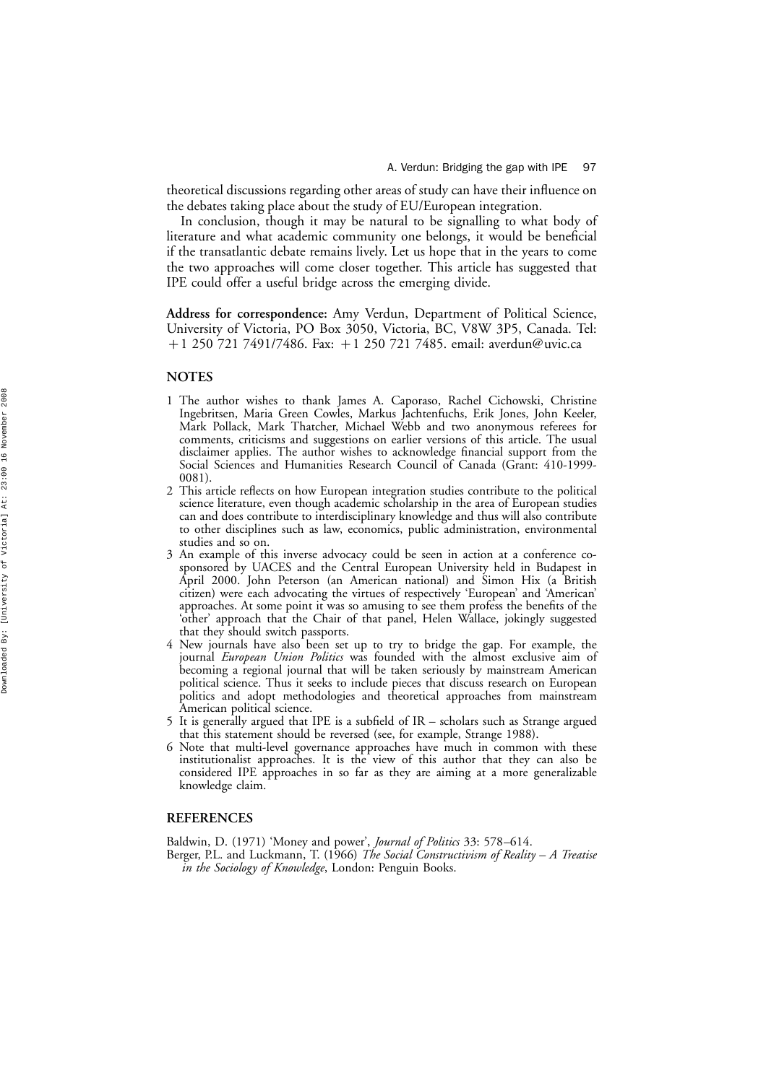theoretical discussions regarding other areas of study can have their in fluence on the debates taking place about the study of EU/European integration.

In conclusion, though it may be natural to be signalling to what body of literature and what academic community one belongs, it would be bene ficial if the transatlantic debate remains lively. Let us hope that in the years to come the two approaches will come closer together. This article has suggested that IPE could offer a useful bridge across the emerging divide.

**Address for correspondence:** Amy Verdun, Department of Political Science, University of Victoria, PO Box 3050, Victoria, BC, V8W 3P5, Canada. Tel: +1 250 721 7491/7486. Fax: +1 250 721 7485. email: averdun@uvic.ca

#### **NOTES**

- 1 The author wishes to thank James A. Caporaso, Rachel Cichowski, Christine Ingebritsen, Maria Green Cowles, Markus Jachtenfuchs, Erik Jones, John Keeler, Mark Pollack, Mark Thatcher, Michael Webb and two anonymous referees for comments, criticisms and suggestions on earlier versions of this article. The usual disclaimer applies. The author wishes to acknowledge financial support from the Social Sciences and Humanities Research Council of Canada (Grant: 410-1999-0081).
- 2 This article re flects on how European integration studies contribute to the political science literature, even though academic scholarship in the area of European studies can and does contribute to interdisciplinary knowledge and thus will also contribute to other disciplines such as law, economics, public administration, environmental studies and so on.
- 3 An example of this inverse advocacy could be seen in action at a conference cosponsored by UACES and the Central European University held in Budapest in April 2000. John Peterson (an American national) and Simon Hix (a British citizen) were each advocating the virtues of respectively 'European' and 'American' approaches. At some point it was so amusing to see them profess the bene fits of the 'other ' approach that the Chair of that panel, Helen Wallace, jokingly suggested that they should switch passports.
- 4 New journals have also been set up to try to bridge the gap. For example, the journal *European Union Politics* was founded with the almost exclusive aim of becoming a regional journal that will be taken seriously by mainstream American political science. Thus it seeks to include pieces that discuss research on European politics and adopt methodologies and theoretical approaches from mainstream American political science.
- 5 It is generally argued that IPE is a sub field of IR scholars such as Strange argued that this statement should be reversed (see, for example, Strange 1988).
- 6 Note that multi-level governance approaches have much in common with these institutionalist approaches. It is the view of this author that they can also be considered IPE approaches in so far as they are aiming at a more generalizable knowledge claim.

#### **REFERENCES**

Baldwin, D. (1971) 'Money and power ' , *Journal of Politics* 33: 578 –614. Berger, P.L. and Luckmann, T. (1966) *The Social Constructivism of Reality – A Treatise*

*in the Sociology of Knowledge*, London: Penguin Books.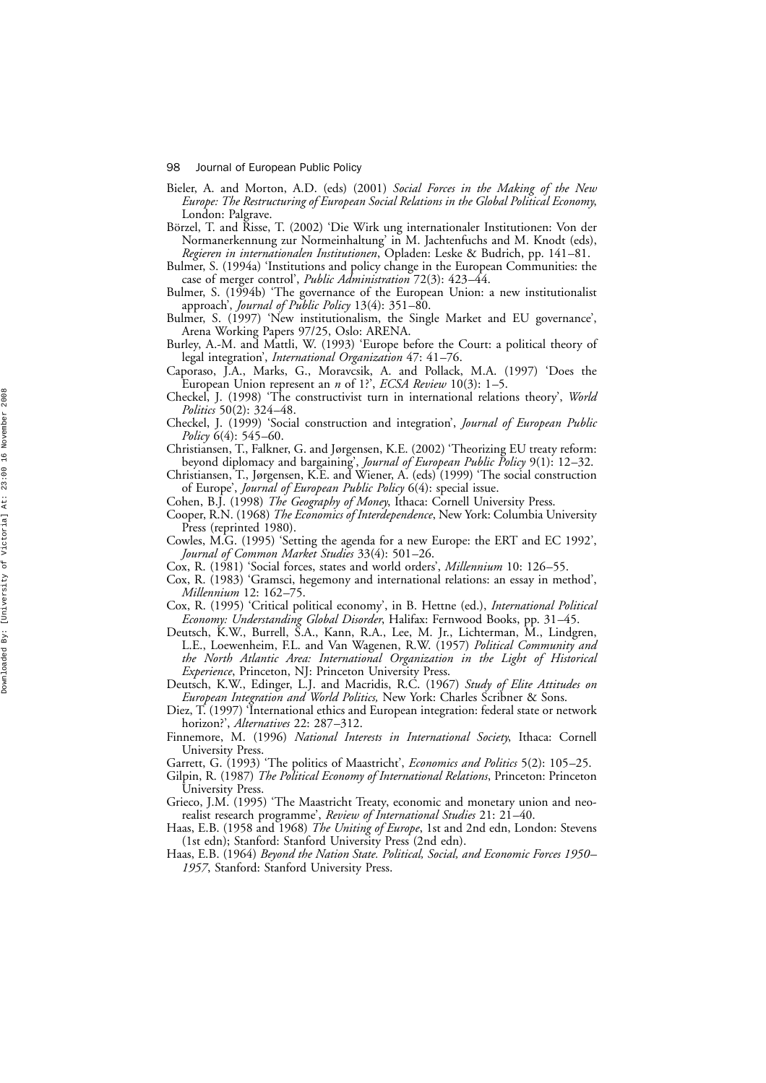- 98 Journal of European Public Policy
- Bieler, A. and Morton, A.D. (eds) (2001) *Social Forces in the Making of the New Europe: The Restructuring of European Social Relations in the Global Political Economy*, London: Palgrave.
- Börzel, T. and Risse, T. (2002) 'Die Wirk ung internationaler Institutionen: Von der Normanerkennung zur Normeinhaltung ' in M. Jachtenfuchs and M. Knodt (eds), *Regieren in internationalen Institutionen*, Opladen: Leske & Budrich, pp. 141 –81.
- Bulmer, S. (1994a) 'Institutions and policy change in the European Communities: the case of merger control ' , *Public Administration* 72(3): 423 –44.
- Bulmer, S. (1994b) 'The governance of the European Union: a new institutionalist approach' , *Journal of Public Policy* 13(4): 351 –80.
- Bulmer, S. (1997) 'New institutionalism, the Single Market and EU governance', Arena Working Papers 97/25, Oslo: ARENA.
- Burley, A.-M. and Mattli, W. (1993) 'Europe before the Court: a political theory of legal integration', International Organization 47: 41-76.
- Caporaso, J.A., Marks, G., Moravcsik, A. and Pollack, M.A. (1997) 'Does the European Union represent an *n* of 1?', *ECSA Review* 10(3): 1-5.
- Checkel, J. (1998) 'The constructivist turn in international relations theory' , *World Politics* 50(2): 324 –48.
- Checkel, J. (1999) 'Social construction and integration' , *Journal of European Public Policy* 6(4): 545 –60.

Christiansen, T., Falkner, G. and J ørgensen, K.E. (2002) 'Theorizing EU treaty reform: beyond diplomacy and bargaining ' , *Journal of European Public Policy* 9(1): 12 –32.

Christiansen, T., J ørgensen, K.E. and Wiener, A. (eds) (1999) 'The social construction of Europe ' , *Journal of European Public Policy* 6(4): special issue.

Cohen, B.J. (1998) *The Geography of Money*, Ithaca: Cornell University Press.

- Cooper, R.N. (1968) *The Economics of Interdependence*, New York: Columbia University Press (reprinted 1980).
- Cowles, M.G. (1995) 'Setting the agenda for a new Europe: the ERT and EC 1992 ' , *Journal of Common Market Studies* 33(4): 501 –26.
- Cox, R. (1981) 'Social forces, states and world orders ' , *Millennium* 10: 126 –55.
- Cox, R. (1983) 'Gramsci, hegemony and international relations: an essay in method ' , *Millennium* 12: 162 –75.
- Cox, R. (1995) 'Critical political economy', in B. Hettne (ed.), *International Political Economy: Understanding Global Disorder*, Halifax: Fernwood Books, pp. 31 –45.
- Deutsch, K.W., Burrell, S.A., Kann, R.A., Lee, M. Jr., Lichterman, M., Lindgren, L.E., Loewenheim, F.L. and Van Wagenen, R.W. (1957) *Political Community and the North Atlantic Area: International Organization in the Light of Historical Experience*, Princeton, NJ: Princeton University Press.
- Deutsch, K.W., Edinger, L.J. and Macridis, R.C. (1967) *Study of Elite Attitudes on European Integration and World Politics,* New York: Charles Scribner & Sons.
- Diez, T. (1997) 'International ethics and European integration: federal state or network horizon? ' , *Alternatives* 22: 287 –312.
- Finnemore, M. (1996) *National Interests in International Society*, Ithaca: Cornell University Press.
- Garrett, G. (1993) 'The politics of Maastricht', *Economics and Politics* 5(2): 105–25.
- Gilpin, R. (1987) *The Political Economy of International Relations*, Princeton: Princeton University Press.
- Grieco, J.M. (1995) 'The Maastricht Treaty, economic and monetary union and neorealist research programme', *Review of International Studies* 21: 21–40.
- Haas, E.B. (1958 and 1968) *The Uniting of Europe*, 1st and 2nd edn, London: Stevens (1st edn); Stanford: Stanford University Press (2nd edn).
- Haas, E.B. (1964) *Beyond the Nation State. Political, Social, and Economic Forces 1950 – 1957*, Stanford: Stanford University Press.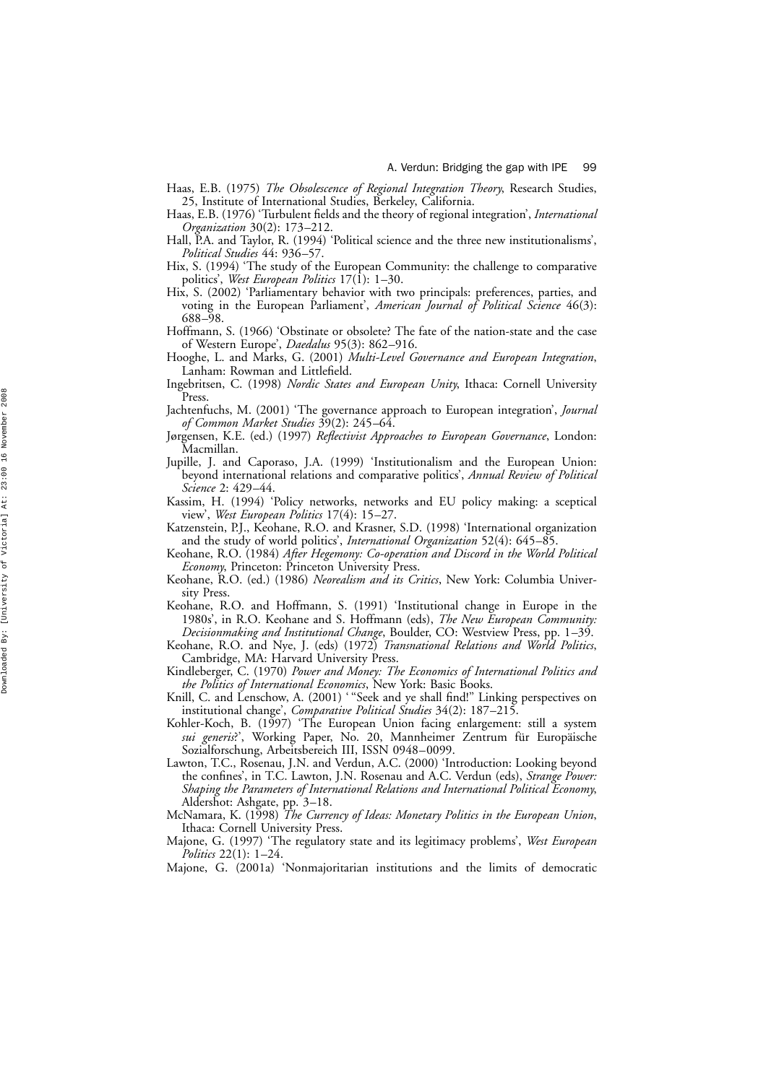- Haas, E.B. (1975) *The Obsolescence of Regional Integration Theory*, Research Studies, 25, Institute of International Studies, Berkeley, California.
- Haas, E.B. (1976) 'Turbulent fields and the theory of regional integration' , *International Organization* 30(2): 173 –212.
- Hall, P.A. and Taylor, R. (1994) 'Political science and the three new institutionalisms', *Political Studies* 44: 936 –57.
- Hix, S. (1994) 'The study of the European Community: the challenge to comparative politics ' , *West European Politics* 17(1): 1 –30.
- Hix, S. (2002) 'Parliamentary behavior with two principals: preferences, parties, and voting in the European Parliament ' , *American Journal of Political Science* 46(3): 688 –98.
- Hoffmann, S. (1966) 'Obstinate or obsolete? The fate of the nation-state and the case of Western Europe ' , *Daedalus* 95(3): 862 –916.
- Hooghe, L. and Marks, G. (2001) *Multi-Level Governance and European Integration* , Lanham: Rowman and Little field.
- Ingebritsen, C. (1998) *Nordic States and European Unity*, Ithaca: Cornell University Press.
- Jachtenfuchs, M. (2001) 'The governance approach to European integration' , *Journal of Common Market Studies* 39(2): 245 –64.
- J ørgensen, K.E. (ed.) (1997) *Reflectivist Approaches to European Governance*, London: Macmillan.
- Jupille, J. and Caporaso, J.A. (1999) 'Institutionalism and the European Union: beyond international relations and comparative politics ' , *Annual Review of Political Science* 2: 429 –44.
- Kassim, H. (1994) 'Policy networks, networks and EU policy making: a sceptical view ' , *West European Politics* 17(4): 15 –27.
- Katzenstein, P.J., Keohane, R.O. and Krasner, S.D. (1998) 'International organization and the study of world politics ' , *International Organization* 52(4): 645 –85.
- Keohane, R.O. (1984) *After Hegemony: Co-operation and Discord in the World Political Economy*, Princeton: Princeton University Press.
- Keohane, R.O. (ed.) (1986) *Neorealism and its Critics*, New York: Columbia University Press.
- Keohane, R.O. and Hoffmann, S. (1991) 'Institutional change in Europe in the 1980s ', in R.O. Keohane and S. Hoffmann (eds), *The New European Community: Decisionmaking and Institutional Change*, Boulder, CO: Westview Press, pp. 1 –39.
- Keohane, R.O. and Nye, J. (eds) (1972) *Transnational Relations and World Politics* , Cambridge, MA: Harvard University Press.
- Kindleberger, C. (1970) *Power and Money: The Economics of International Politics and the Politics of International Economics*, New York: Basic Books.
- Knill, C. and Lenschow, A. (2001) ' ''Seek and ye shall find!'' Linking perspectives on institutional change ' , *Comparative Political Studies* 34(2): 187 –215.
- Kohler-Koch, B. (1997) 'The European Union facing enlargement: still a system *sui generis*?', Working Paper, No. 20, Mannheimer Zentrum für Europäische Sozialforschung, Arbeitsbereich III, ISSN 0948 –0099.
- Lawton, T.C., Rosenau, J.N. and Verdun, A.C. (2000) 'Introduction: Looking beyond the con fines ', in T.C. Lawton, J.N. Rosenau and A.C. Verdun (eds), *Strange Power: Shaping the Parameters of International Relations and International Political Economy*, Aldershot: Ashgate, pp. 3 –18.
- McNamara, K. (1998) *The Currency of Ideas: Monetary Politics in the European Union* , Ithaca: Cornell University Press.
- Majone, G. (1997) 'The regulatory state and its legitimacy problems ' , *West European Politics* 22(1): 1 –24.
- Majone, G. (2001a) 'Nonmajoritarian institutions and the limits of democratic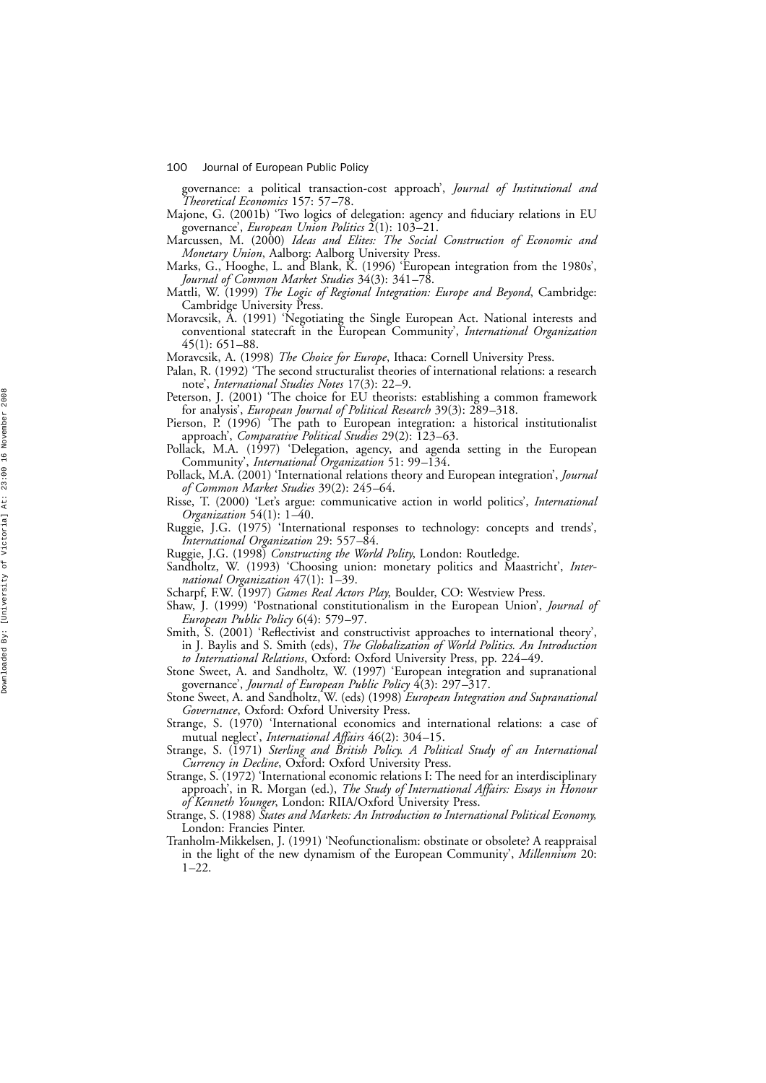governance: a political transaction-cost approach' , *Journal of Institutional and Theoretical Economics* 157: 57 –78.

Majone, G. (2001b) 'Two logics of delegation: agency and fiduciary relations in EU governance ' , *European Union Politics* 2(1): 103 –21.

Marcussen, M. (2000) *Ideas and Elites: The Social Construction of Economic and Monetary Union*, Aalborg: Aalborg University Press.

Marks, G., Hooghe, L. and Blank, K. (1996) 'European integration from the 1980s ' , *Journal of Common Market Studies* 34(3): 341 –78.

Mattli, W. (1999) *The Logic of Regional Integration: Europe and Beyond*, Cambridge: Cambridge University Press.

Moravcsik, A. (1991) 'Negotiating the Single European Act. National interests and conventional statecraft in the European Community' , *International Organization* 45(1): 651 –88.

Moravcsik, A. (1998) *The Choice for Europe*, Ithaca: Cornell University Press.

Palan, R. (1992) 'The second structuralist theories of international relations: a research note ' , *International Studies Notes* 17(3): 22 –9.

Peterson, J. (2001) 'The choice for EU theorists: establishing a common framework for analysis ' , *European Journal of Political Research* 39(3): 289 –318.

Pierson, P. (1996) 'The path to European integration: a historical institutionalist approach' , *Comparative Political Studies* 29(2): 123 –63.

Pollack, M.A. (1997) 'Delegation, agency, and agenda setting in the European Community' , *International Organization* 51: 99 –134.

Pollack, M.A. (2001) 'International relations theory and European integration' , *Journal of Common Market Studies* 39(2): 245 –64.

Risse, T. (2000) 'Let 's argue: communicative action in world politics ' , *International Organization* 54(1): 1 –40.

Ruggie, J.G. (1975) 'International responses to technology: concepts and trends ' , *International Organization* 29: 557 –84.

Ruggie, J.G. (1998) *Constructing the World Polity*, London: Routledge.

- Sandholtz, W. (1993) 'Choosing union: monetary politics and Maastricht', Inter*national Organization* 47(1): 1–39.
- Scharpf, F.W. (1997) *Games Real Actors Play*, Boulder, CO: Westview Press.
- Shaw, J. (1999) 'Postnational constitutionalism in the European Union' , *Journal of European Public Policy* 6(4): 579 –97.
- Smith, S. (2001) 'Reflectivist and constructivist approaches to international theory', in J. Baylis and S. Smith (eds), *The Globalization of World Politics. An Introduction to International Relations*, Oxford: Oxford University Press, pp. 224 –49.
- Stone Sweet, A. and Sandholtz, W. (1997) 'European integration and supranational governance ' , *Journal of European Public Policy* 4(3): 297 –317.
- Stone Sweet, A. and Sandholtz, W. (eds) (1998) *European Integration and Supranational Governance*, Oxford: Oxford University Press.
- Strange, S. (1970) 'International economics and international relations: a case of mutual neglect ' , *International Affairs* 46(2): 304 –15.
- Strange, S. (1971) *Sterling and British Policy. A Political Study of an International Currency in Decline*, Oxford: Oxford University Press.

Strange, S. (1972) 'International economic relations I: The need for an interdisciplinary approach', in R. Morgan (ed.), *The Study of International Affairs: Essays in Honour of Kenneth Younger*, London: RIIA/Oxford University Press.

- Strange, S. (1988) *States and Markets: An Introduction to International Political Economy,* London: Francies Pinter.
- Tranholm-Mikkelsen, J. (1991) 'Neofunctionalism: obstinate or obsolete? A reappraisal in the light of the new dynamism of the European Community' , *Millennium* 20: 1 –22.